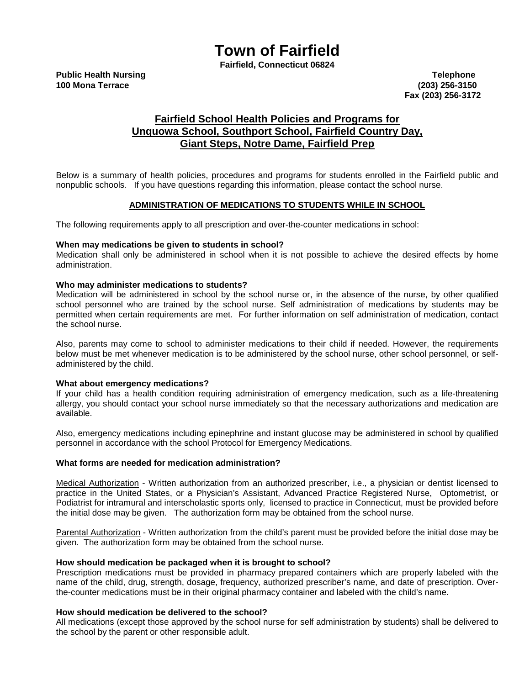# **Town of Fairfield**

**Fairfield, Connecticut 06824**

**100 Mona Terrace (203) 256-3150 Fax (203) 256-3172**

# **Fairfield School Health Policies and Programs for Unquowa School, Southport School, Fairfield Country Day, Giant Steps, Notre Dame, Fairfield Prep**

Below is a summary of health policies, procedures and programs for students enrolled in the Fairfield public and nonpublic schools. If you have questions regarding this information, please contact the school nurse.

# **ADMINISTRATION OF MEDICATIONS TO STUDENTS WHILE IN SCHOOL**

The following requirements apply to all prescription and over-the-counter medications in school:

# **When may medications be given to students in school?**

Medication shall only be administered in school when it is not possible to achieve the desired effects by home administration.

#### **Who may administer medications to students?**

Medication will be administered in school by the school nurse or, in the absence of the nurse, by other qualified school personnel who are trained by the school nurse. Self administration of medications by students may be permitted when certain requirements are met. For further information on self administration of medication, contact the school nurse.

Also, parents may come to school to administer medications to their child if needed. However, the requirements below must be met whenever medication is to be administered by the school nurse, other school personnel, or selfadministered by the child.

# **What about emergency medications?**

If your child has a health condition requiring administration of emergency medication, such as a life-threatening allergy, you should contact your school nurse immediately so that the necessary authorizations and medication are available.

Also, emergency medications including epinephrine and instant glucose may be administered in school by qualified personnel in accordance with the school Protocol for Emergency Medications.

#### **What forms are needed for medication administration?**

Medical Authorization - Written authorization from an authorized prescriber, i.e., a physician or dentist licensed to practice in the United States, or a Physician's Assistant, Advanced Practice Registered Nurse, Optometrist, or Podiatrist for intramural and interscholastic sports only, licensed to practice in Connecticut, must be provided before the initial dose may be given. The authorization form may be obtained from the school nurse.

Parental Authorization - Written authorization from the child's parent must be provided before the initial dose may be given. The authorization form may be obtained from the school nurse.

#### **How should medication be packaged when it is brought to school?**

Prescription medications must be provided in pharmacy prepared containers which are properly labeled with the name of the child, drug, strength, dosage, frequency, authorized prescriber's name, and date of prescription. Overthe-counter medications must be in their original pharmacy container and labeled with the child's name.

# **How should medication be delivered to the school?**

All medications (except those approved by the school nurse for self administration by students) shall be delivered to the school by the parent or other responsible adult.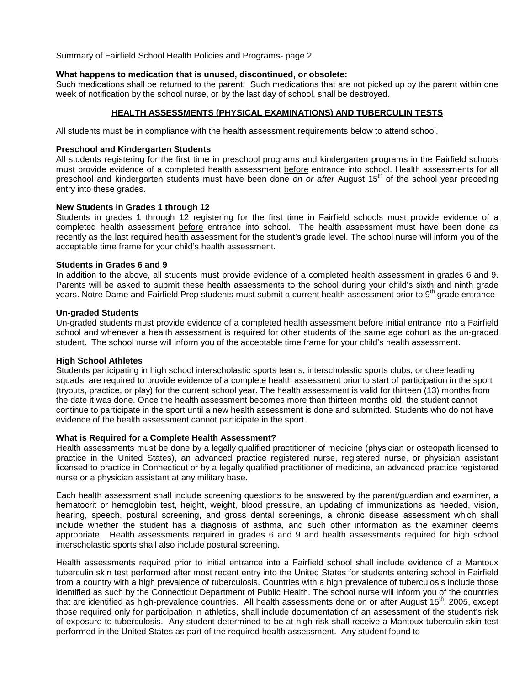Summary of Fairfield School Health Policies and Programs- page 2

# **What happens to medication that is unused, discontinued, or obsolete:**

Such medications shall be returned to the parent. Such medications that are not picked up by the parent within one week of notification by the school nurse, or by the last day of school, shall be destroyed.

# **HEALTH ASSESSMENTS (PHYSICAL EXAMINATIONS) AND TUBERCULIN TESTS**

All students must be in compliance with the health assessment requirements below to attend school.

#### **Preschool and Kindergarten Students**

All students registering for the first time in preschool programs and kindergarten programs in the Fairfield schools must provide evidence of a completed health assessment before entrance into school. Health assessments for all preschool and kindergarten students must have been done *on or after* August 15th of the school year preceding entry into these grades.

#### **New Students in Grades 1 through 12**

Students in grades 1 through 12 registering for the first time in Fairfield schools must provide evidence of a completed health assessment before entrance into school. The health assessment must have been done as recently as the last required health assessment for the student's grade level. The school nurse will inform you of the acceptable time frame for your child's health assessment.

#### **Students in Grades 6 and 9**

In addition to the above, all students must provide evidence of a completed health assessment in grades 6 and 9. Parents will be asked to submit these health assessments to the school during your child's sixth and ninth grade years. Notre Dame and Fairfield Prep students must submit a current health assessment prior to 9<sup>th</sup> grade entrance

#### **Un-graded Students**

Un-graded students must provide evidence of a completed health assessment before initial entrance into a Fairfield school and whenever a health assessment is required for other students of the same age cohort as the un-graded student. The school nurse will inform you of the acceptable time frame for your child's health assessment.

#### **High School Athletes**

Students participating in high school interscholastic sports teams, interscholastic sports clubs, or cheerleading squads are required to provide evidence of a complete health assessment prior to start of participation in the sport (tryouts, practice, or play) for the current school year. The health assessment is valid for thirteen (13) months from the date it was done. Once the health assessment becomes more than thirteen months old, the student cannot continue to participate in the sport until a new health assessment is done and submitted. Students who do not have evidence of the health assessment cannot participate in the sport.

# **What is Required for a Complete Health Assessment?**

Health assessments must be done by a legally qualified practitioner of medicine (physician or osteopath licensed to practice in the United States), an advanced practice registered nurse, registered nurse, or physician assistant licensed to practice in Connecticut or by a legally qualified practitioner of medicine, an advanced practice registered nurse or a physician assistant at any military base.

Each health assessment shall include screening questions to be answered by the parent/guardian and examiner, a hematocrit or hemoglobin test, height, weight, blood pressure, an updating of immunizations as needed, vision, hearing, speech, postural screening, and gross dental screenings, a chronic disease assessment which shall include whether the student has a diagnosis of asthma, and such other information as the examiner deems appropriate. Health assessments required in grades 6 and 9 and health assessments required for high school interscholastic sports shall also include postural screening.

Health assessments required prior to initial entrance into a Fairfield school shall include evidence of a Mantoux tuberculin skin test performed after most recent entry into the United States for students entering school in Fairfield from a country with a high prevalence of tuberculosis. Countries with a high prevalence of tuberculosis include those identified as such by the Connecticut Department of Public Health. The school nurse will inform you of the countries that are identified as high-prevalence countries. All health assessments done on or after August  $15<sup>th</sup>$ , 2005, except those required only for participation in athletics, shall include documentation of an assessment of the student's risk of exposure to tuberculosis. Any student determined to be at high risk shall receive a Mantoux tuberculin skin test performed in the United States as part of the required health assessment. Any student found to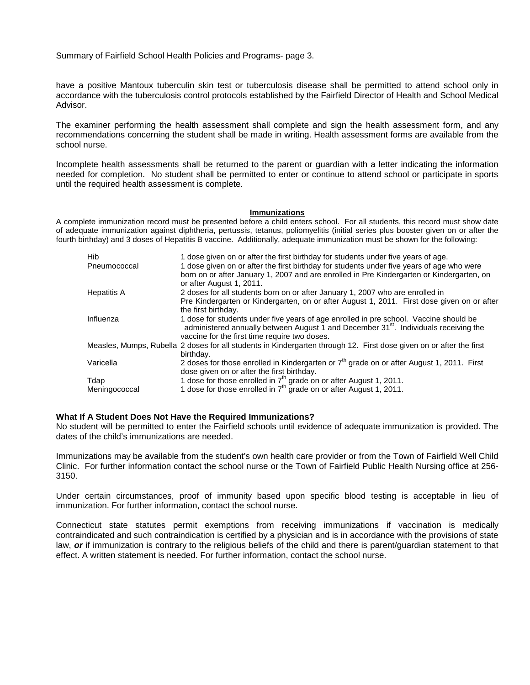Summary of Fairfield School Health Policies and Programs- page 3.

have a positive Mantoux tuberculin skin test or tuberculosis disease shall be permitted to attend school only in accordance with the tuberculosis control protocols established by the Fairfield Director of Health and School Medical Advisor.

The examiner performing the health assessment shall complete and sign the health assessment form, and any recommendations concerning the student shall be made in writing. Health assessment forms are available from the school nurse.

Incomplete health assessments shall be returned to the parent or guardian with a letter indicating the information needed for completion. No student shall be permitted to enter or continue to attend school or participate in sports until the required health assessment is complete.

#### **Immunizations**

A complete immunization record must be presented before a child enters school. For all students, this record must show date of adequate immunization against diphtheria, pertussis, tetanus, poliomyelitis (initial series plus booster given on or after the fourth birthday) and 3 doses of Hepatitis B vaccine. Additionally, adequate immunization must be shown for the following:

| Hib                | 1 dose given on or after the first birthday for students under five years of age.                                                                                                                                                          |
|--------------------|--------------------------------------------------------------------------------------------------------------------------------------------------------------------------------------------------------------------------------------------|
| Pneumococcal       | 1 dose given on or after the first birthday for students under five years of age who were                                                                                                                                                  |
|                    | born on or after January 1, 2007 and are enrolled in Pre Kindergarten or Kindergarten, on                                                                                                                                                  |
|                    | or after August 1, 2011.                                                                                                                                                                                                                   |
| <b>Hepatitis A</b> | 2 doses for all students born on or after January 1, 2007 who are enrolled in                                                                                                                                                              |
|                    | Pre Kindergarten or Kindergarten, on or after August 1, 2011. First dose given on or after                                                                                                                                                 |
|                    | the first birthday.                                                                                                                                                                                                                        |
| Influenza          | 1 dose for students under five years of age enrolled in pre school. Vaccine should be<br>administered annually between August 1 and December 31 <sup>st</sup> . Individuals receiving the<br>vaccine for the first time require two doses. |
|                    | Measles, Mumps, Rubella 2 doses for all students in Kindergarten through 12. First dose given on or after the first                                                                                                                        |
|                    | birthday.                                                                                                                                                                                                                                  |
| Varicella          | 2 doses for those enrolled in Kindergarten or 7 <sup>th</sup> grade on or after August 1, 2011. First                                                                                                                                      |
|                    | dose given on or after the first birthday.                                                                                                                                                                                                 |
| Tdap               | 1 dose for those enrolled in $7th$ grade on or after August 1, 2011.                                                                                                                                                                       |
| Meningococcal      | 1 dose for those enrolled in $7th$ grade on or after August 1, 2011.                                                                                                                                                                       |
|                    |                                                                                                                                                                                                                                            |

#### **What If A Student Does Not Have the Required Immunizations?**

No student will be permitted to enter the Fairfield schools until evidence of adequate immunization is provided. The dates of the child's immunizations are needed.

Immunizations may be available from the student's own health care provider or from the Town of Fairfield Well Child Clinic. For further information contact the school nurse or the Town of Fairfield Public Health Nursing office at 256- 3150.

Under certain circumstances, proof of immunity based upon specific blood testing is acceptable in lieu of immunization. For further information, contact the school nurse.

Connecticut state statutes permit exemptions from receiving immunizations if vaccination is medically contraindicated and such contraindication is certified by a physician and is in accordance with the provisions of state law, *or* if immunization is contrary to the religious beliefs of the child and there is parent/guardian statement to that effect. A written statement is needed. For further information, contact the school nurse.